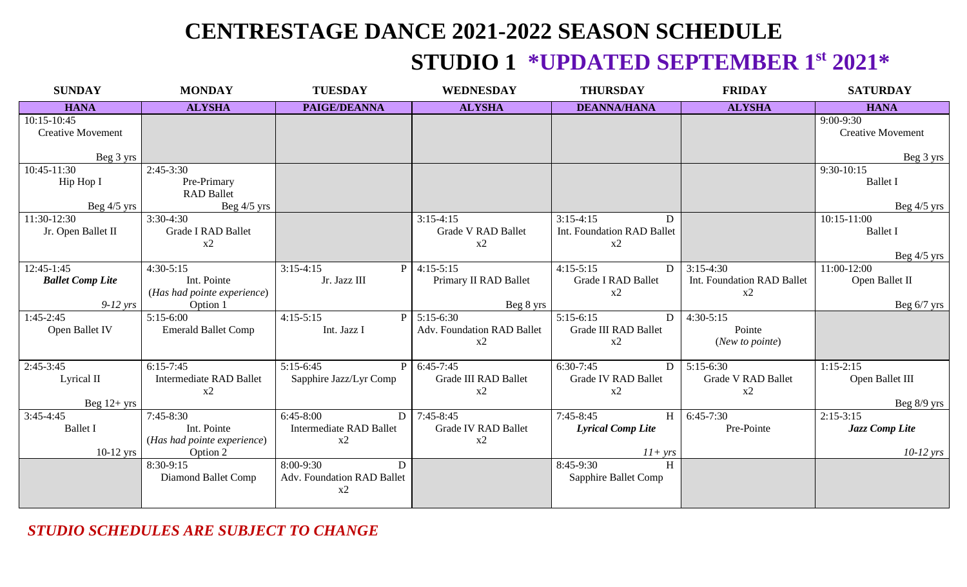# **CENTRESTAGE DANCE 2021-2022 SEASON SCHEDULE**

#### **STUDIO 1 \*UPDATED SEPTEMBER 1st 2021\***

| <b>SUNDAY</b>                                 | <b>MONDAY</b>                                                         | <b>TUESDAY</b>                                           | <b>WEDNESDAY</b>                                   | <b>THURSDAY</b>                                           | <b>FRIDAY</b>                                   | <b>SATURDAY</b>                                 |
|-----------------------------------------------|-----------------------------------------------------------------------|----------------------------------------------------------|----------------------------------------------------|-----------------------------------------------------------|-------------------------------------------------|-------------------------------------------------|
| <b>HANA</b>                                   | <b>ALYSHA</b>                                                         | PAIGE/DEANNA                                             | <b>ALYSHA</b>                                      | <b>DEANNA/HANA</b>                                        | <b>ALYSHA</b>                                   | <b>HANA</b>                                     |
| 10:15-10:45<br><b>Creative Movement</b>       |                                                                       |                                                          |                                                    |                                                           |                                                 | $9:00-9:30$<br><b>Creative Movement</b>         |
| Beg 3 yrs<br>10:45-11:30                      | $2:45-3:30$                                                           |                                                          |                                                    |                                                           |                                                 | Beg 3 yrs<br>$9:30-10:15$                       |
| Hip Hop I                                     | Pre-Primary<br><b>RAD Ballet</b>                                      |                                                          |                                                    |                                                           |                                                 | <b>Ballet I</b>                                 |
| Beg $4/5$ yrs                                 | Beg $4/5$ yrs                                                         |                                                          |                                                    |                                                           |                                                 | Beg $4/5$ yrs                                   |
| 11:30-12:30<br>Jr. Open Ballet II             | $3:30-4:30$<br><b>Grade I RAD Ballet</b><br>x2                        |                                                          | $3:15-4:15$<br><b>Grade V RAD Ballet</b><br>x2     | $3:15-4:15$<br>D<br>Int. Foundation RAD Ballet<br>x2      |                                                 | $10:15 - 11:00$<br><b>Ballet I</b>              |
|                                               |                                                                       |                                                          |                                                    |                                                           |                                                 | Beg $4/5$ yrs                                   |
| 12:45-1:45<br><b>Ballet Comp Lite</b>         | $4:30-5:15$<br>Int. Pointe<br>(Has had pointe experience)             | $3:15-4:15$<br>Jr. Jazz III                              | $P$ 4:15-5:15<br>Primary II RAD Ballet             | $4:15-5:15$<br>D<br><b>Grade I RAD Ballet</b><br>x2       | $3:15-4:30$<br>Int. Foundation RAD Ballet<br>x2 | 11:00-12:00<br>Open Ballet II                   |
| $9-12$ yrs                                    | Option 1                                                              |                                                          | Beg 8 yrs                                          |                                                           |                                                 | Beg $6/7$ yrs                                   |
| $1:45-2:45$<br>Open Ballet IV                 | $5:15-6:00$<br><b>Emerald Ballet Comp</b>                             | $4:15-5:15$<br>Int. Jazz I                               | $5:15-6:30$<br>Adv. Foundation RAD Ballet<br>x2    | $5:15-6:15$<br>D<br><b>Grade III RAD Ballet</b><br>x2     | $4:30-5:15$<br>Pointe<br>(New to pointe)        |                                                 |
| $2:45-3:45$<br>Lyrical II<br>Beg $12+$ yrs    | $6:15-7:45$<br><b>Intermediate RAD Ballet</b><br>x2                   | $5:15-6:45$<br>Sapphire Jazz/Lyr Comp                    | $P$ 6:45-7:45<br><b>Grade III RAD Ballet</b><br>x2 | $6:30-7:45$<br>D<br><b>Grade IV RAD Ballet</b><br>x2      | $5:15-6:30$<br><b>Grade V RAD Ballet</b><br>x2  | $1:15-2:15$<br>Open Ballet III<br>Beg $8/9$ yrs |
| $3:45-4:45$<br><b>Ballet I</b><br>$10-12$ yrs | $7:45-8:30$<br>Int. Pointe<br>(Has had pointe experience)<br>Option 2 | $6:45-8:00$<br>D<br><b>Intermediate RAD Ballet</b><br>x2 | $7:45-8:45$<br><b>Grade IV RAD Ballet</b><br>x2    | $7:45-8:45$<br>H<br><b>Lyrical Comp Lite</b><br>$11+ yrs$ | $6:45-7:30$<br>Pre-Pointe                       | $2:15-3:15$<br>Jazz Comp Lite<br>$10-12$ yrs    |
|                                               | 8:30-9:15<br>Diamond Ballet Comp                                      | 8:00-9:30<br>D<br>Adv. Foundation RAD Ballet<br>x2       |                                                    | $8:45-9:30$<br>H<br>Sapphire Ballet Comp                  |                                                 |                                                 |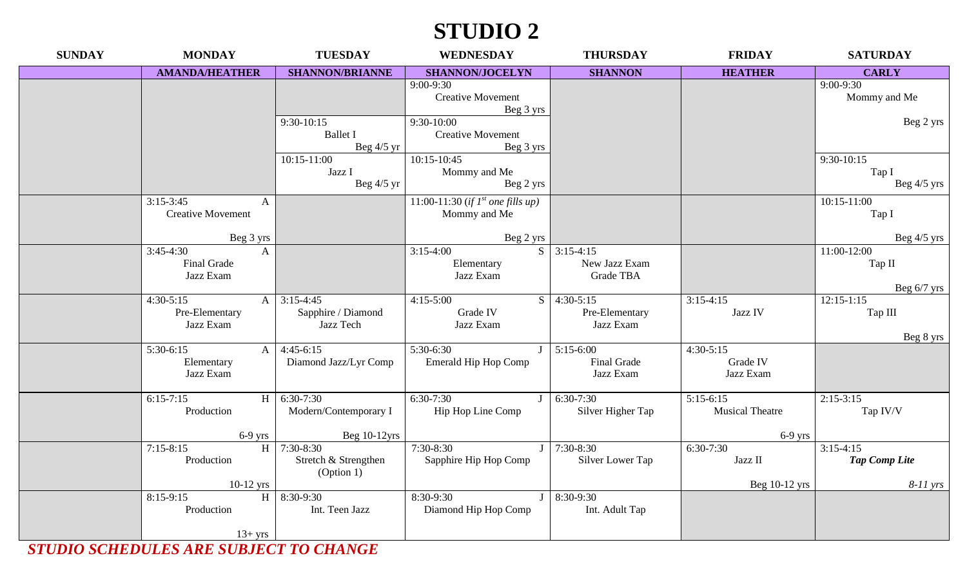## **STUDIO 2**

| <b>SUNDAY</b> | <b>MONDAY</b>                            | <b>TUESDAY</b>                  | <b>WEDNESDAY</b>                       | <b>THURSDAY</b>    | <b>FRIDAY</b>          | <b>SATURDAY</b>              |
|---------------|------------------------------------------|---------------------------------|----------------------------------------|--------------------|------------------------|------------------------------|
|               | <b>AMANDA/HEATHER</b>                    | <b>SHANNON/BRIANNE</b>          | <b>SHANNON/JOCELYN</b>                 | <b>SHANNON</b>     | <b>HEATHER</b>         | <b>CARLY</b>                 |
|               |                                          |                                 | $9:00-9:30$                            |                    |                        | $9:00 - 9:30$                |
|               |                                          |                                 | <b>Creative Movement</b>               |                    |                        | Mommy and Me                 |
|               |                                          |                                 | Beg 3 yrs<br>$9:30-10:00$              |                    |                        |                              |
|               |                                          | $9:30-10:15$<br><b>Ballet I</b> | <b>Creative Movement</b>               |                    |                        | Beg 2 yrs                    |
|               |                                          | Beg $4/5$ yr                    | Beg 3 yrs                              |                    |                        |                              |
|               |                                          | $10:15 - 11:00$                 | $10:15-10:45$                          |                    |                        | 9:30-10:15                   |
|               |                                          | Jazz I                          | Mommy and Me                           |                    |                        | Tap I                        |
|               |                                          | Beg $4/5$ yr                    | Beg 2 yrs                              |                    |                        | Beg $4/5$ yrs                |
|               | $3:15-3:45$<br>$\mathbf{A}$              |                                 | 11:00-11:30 (if $I^{st}$ one fills up) |                    |                        | $10:15 - 11:00$              |
|               | <b>Creative Movement</b>                 |                                 | Mommy and Me                           |                    |                        | Tap I                        |
|               |                                          |                                 |                                        |                    |                        |                              |
|               | Beg 3 yrs<br>$3:45-4:30$<br>$\mathbf{A}$ |                                 | Beg 2 yrs<br>S<br>$3:15-4:00$          | $3:15-4:15$        |                        | Beg $4/5$ yrs<br>11:00-12:00 |
|               | Final Grade                              |                                 | Elementary                             | New Jazz Exam      |                        | Tap II                       |
|               | Jazz Exam                                |                                 | Jazz Exam                              | Grade TBA          |                        |                              |
|               |                                          |                                 |                                        |                    |                        | Beg $6/7$ yrs                |
|               | $4:30-5:15$<br>$\vert$ A $\vert$         | $3:15-4:45$                     | $4:15-5:00$<br>S                       | $4:30-5:15$        | $3:15-4:15$            | $12:15-1:15$                 |
|               | Pre-Elementary                           | Sapphire / Diamond              | Grade IV                               | Pre-Elementary     | Jazz IV                | Tap III                      |
|               | Jazz Exam                                | Jazz Tech                       | Jazz Exam                              | Jazz Exam          |                        |                              |
|               | 5:30-6:15                                | $4:45-6:15$                     | 5:30-6:30                              | $5:15-6:00$        | $4:30-5:15$            | Beg 8 yrs                    |
|               | A<br>Elementary                          | Diamond Jazz/Lyr Comp           | Emerald Hip Hop Comp                   | <b>Final Grade</b> | Grade IV               |                              |
|               | Jazz Exam                                |                                 |                                        | Jazz Exam          | Jazz Exam              |                              |
|               |                                          |                                 |                                        |                    |                        |                              |
|               | $6:15-7:15$<br>H                         | $6:30-7:30$                     | $6:30-7:30$                            | $6:30-7:30$        | $5:15-6:15$            | $2:15-3:15$                  |
|               | Production                               | Modern/Contemporary I           | Hip Hop Line Comp                      | Silver Higher Tap  | <b>Musical Theatre</b> | Tap IV/V                     |
|               | $6-9$ yrs                                | Beg 10-12yrs                    |                                        |                    | $6-9$ yrs              |                              |
|               | H<br>$7:15-8:15$                         | $7:30-8:30$                     | $7:30-8:30$                            | 7:30-8:30          | $6:30-7:30$            | $3:15-4:15$                  |
|               | Production                               | Stretch & Strengthen            | Sapphire Hip Hop Comp                  | Silver Lower Tap   | Jazz II                | <b>Tap Comp Lite</b>         |
|               |                                          | (Option 1)                      |                                        |                    |                        |                              |
|               | $10-12$ yrs                              |                                 |                                        |                    | Beg $10-12$ yrs        | $8-11$ yrs                   |
|               | H<br>8:15-9:15                           | $8:30-9:30$                     | 8:30-9:30                              | 8:30-9:30          |                        |                              |
|               | Production                               | Int. Teen Jazz                  | Diamond Hip Hop Comp                   | Int. Adult Tap     |                        |                              |
|               | $13+ yrs$                                |                                 |                                        |                    |                        |                              |
|               |                                          | لمالا والمستمر المراسم المسا    |                                        |                    |                        |                              |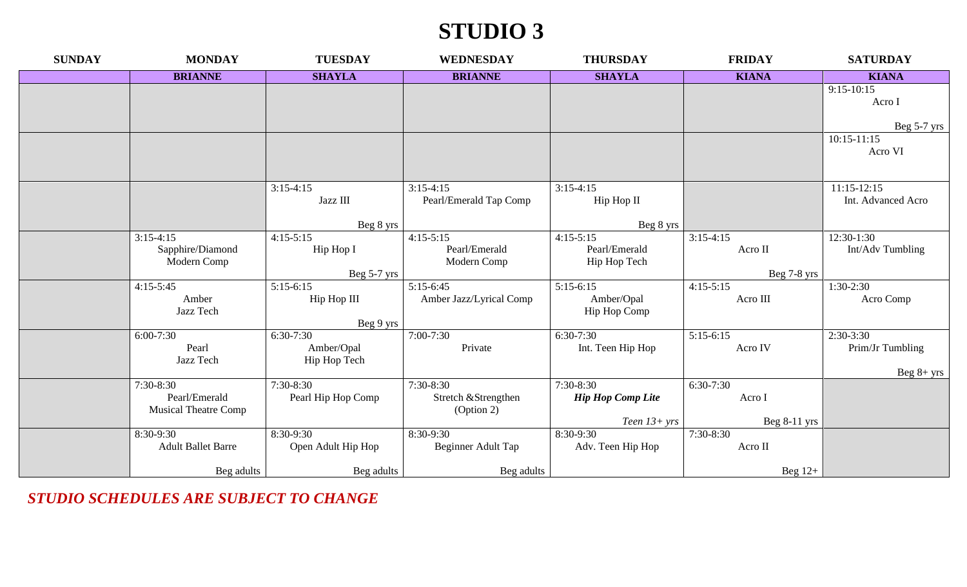# **STUDIO 3**

| <b>SUNDAY</b> | <b>MONDAY</b>               | <b>TUESDAY</b>             | <b>WEDNESDAY</b>        | <b>THURSDAY</b>          | <b>FRIDAY</b>              | <b>SATURDAY</b>    |
|---------------|-----------------------------|----------------------------|-------------------------|--------------------------|----------------------------|--------------------|
|               | <b>BRIANNE</b>              | <b>SHAYLA</b>              | <b>BRIANNE</b>          | <b>SHAYLA</b>            | <b>KIANA</b>               | <b>KIANA</b>       |
|               |                             |                            |                         |                          |                            | $9:15-10:15$       |
|               |                             |                            |                         |                          |                            | Acro I             |
|               |                             |                            |                         |                          |                            | Beg 5-7 yrs        |
|               |                             |                            |                         |                          |                            | $10:15 - 11:15$    |
|               |                             |                            |                         |                          |                            | Acro VI            |
|               |                             |                            |                         |                          |                            |                    |
|               |                             | $3:15-4:15$                | $3:15-4:15$             | $3:15-4:15$              |                            | $11:15-12:15$      |
|               |                             | Jazz III                   | Pearl/Emerald Tap Comp  | Hip Hop II               |                            | Int. Advanced Acro |
|               |                             | Beg 8 yrs                  |                         | Beg 8 yrs                |                            |                    |
|               | $3:15-4:15$                 | $4:15-5:15$                | $4:15-5:15$             | $4:15-5:15$              | $3:15-4:15$                | $12:30-1:30$       |
|               | Sapphire/Diamond            | Hip Hop I                  | Pearl/Emerald           | Pearl/Emerald            | Acro II                    | Int/Adv Tumbling   |
|               | Modern Comp                 |                            | Modern Comp             | Hip Hop Tech             |                            |                    |
|               | $4:15-5:45$                 | Beg 5-7 yrs<br>$5:15-6:15$ | $5:15-6:45$             | $5:15-6:15$              | Beg 7-8 yrs<br>$4:15-5:15$ | $1:30-2:30$        |
|               | Amber                       | Hip Hop III                | Amber Jazz/Lyrical Comp | Amber/Opal               | Acro III                   | Acro Comp          |
|               | Jazz Tech                   |                            |                         | Hip Hop Comp             |                            |                    |
|               |                             | Beg 9 yrs                  |                         |                          |                            |                    |
|               | $6:00-7:30$                 | $6:30-7:30$                | $7:00 - 7:30$           | $6:30-7:30$              | $5:15-6:15$                | $2:30-3:30$        |
|               | Pearl                       | Amber/Opal                 | Private                 | Int. Teen Hip Hop        | Acro IV                    | Prim/Jr Tumbling   |
|               | Jazz Tech                   | Hip Hop Tech               |                         |                          |                            |                    |
|               | $7:30-8:30$                 | $7:30-8:30$                | 7:30-8:30               | $7:30-8:30$              | $6:30-7:30$                | Beg $8+$ yrs       |
|               | Pearl/Emerald               | Pearl Hip Hop Comp         | Stretch & Strengthen    | <b>Hip Hop Comp Lite</b> | Acro I                     |                    |
|               | <b>Musical Theatre Comp</b> |                            | (Option 2)              |                          |                            |                    |
|               |                             |                            |                         | Teen $13+ yrs$           | Beg $8-11$ yrs             |                    |
|               | 8:30-9:30                   | 8:30-9:30                  | 8:30-9:30               | 8:30-9:30                | 7:30-8:30                  |                    |
|               | <b>Adult Ballet Barre</b>   | Open Adult Hip Hop         | Beginner Adult Tap      | Adv. Teen Hip Hop        | Acro II                    |                    |
|               | Beg adults                  | Beg adults                 | Beg adults              |                          | Beg $12+$                  |                    |